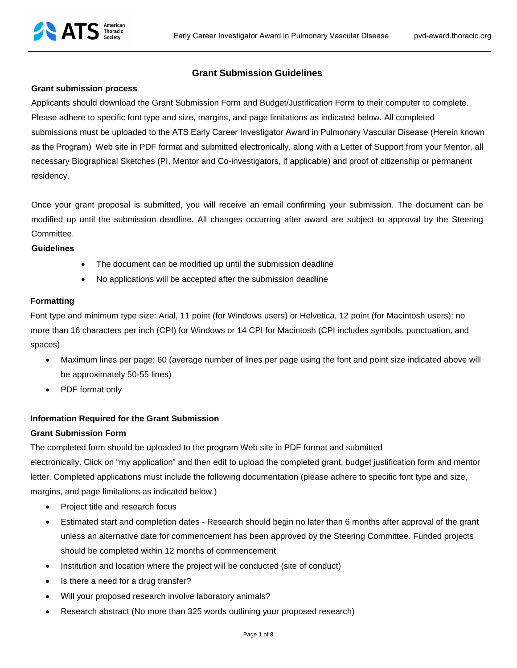# **Grant Submission Guidelines**

#### **Grant submission process**

Applicants should download the Grant Submission Form and Budget/Justification Form to their computer to complete. Please adhere to specific font type and size, margins, and page limitations as indicated below. All completed submissions must be uploaded to the ATS Early Career Investigator Award in Pulmonary Vascular Disease (Herein known as the Program) Web site in PDF format and submitted electronically, along with a Letter of Support from your Mentor, all necessary Biographical Sketches (PI, Mentor and Co-investigators, if applicable) and proof of citizenship or permanent residency.

Once your grant proposal is submitted, you will receive an email confirming your submission. The document can be modified up until the submission deadline. All changes occurring after award are subject to approval by the Steering Committee.

#### **Guidelines**

- The document can be modified up until the submission deadline
- No applications will be accepted after the submission deadline

#### **Formatting**

Font type and minimum type size: Arial, 11 point (for Windows users) or Helvetica, 12 point (for Macintosh users); no more than 16 characters per inch (CPI) for Windows or 14 CPI for Macintosh (CPI includes symbols, punctuation, and spaces)

- Maximum lines per page: 60 (average number of lines per page using the font and point size indicated above will be approximately 50-55 lines)
- PDF format only

# **Information Required for the Grant Submission**

# **Grant Submission Form**

The completed form should be uploaded to the program Web site in PDF format and submitted electronically. Click on "my application" and then edit to upload the completed grant, budget justification form and mentor letter. Completed applications must include the following documentation (please adhere to specific font type and size, margins, and page limitations as indicated below.)

- Project title and research focus
- Estimated start and completion dates Research should begin no later than 6 months after approval of the grant unless an alternative date for commencement has been approved by the Steering Committee. Funded projects should be completed within 12 months of commencement.
- Institution and location where the project will be conducted (site of conduct)
- Is there a need for a drug transfer?
- Will your proposed research involve laboratory animals?
- Research abstract (No more than 325 words outlining your proposed research)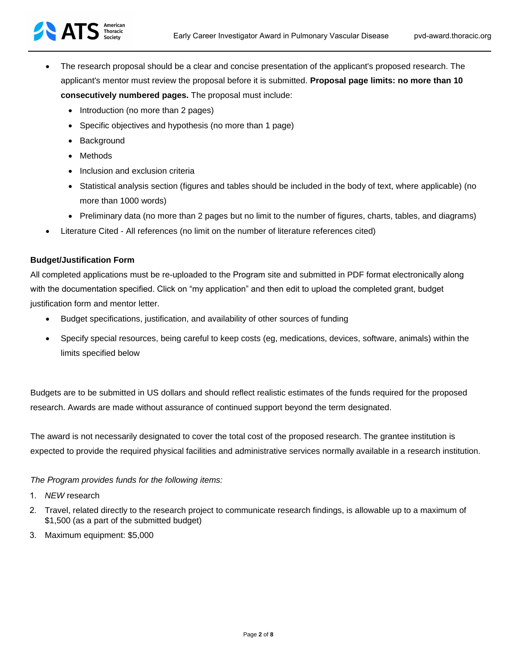

- The research proposal should be a clear and concise presentation of the applicant's proposed research. The applicant's mentor must review the proposal before it is submitted. **Proposal page limits: no more than 10 consecutively numbered pages.** The proposal must include:
	- Introduction (no more than 2 pages)
	- Specific objectives and hypothesis (no more than 1 page)
	- Background
	- Methods
	- Inclusion and exclusion criteria
	- Statistical analysis section (figures and tables should be included in the body of text, where applicable) (no more than 1000 words)
	- Preliminary data (no more than 2 pages but no limit to the number of figures, charts, tables, and diagrams)
- Literature Cited All references (no limit on the number of literature references cited)

# **Budget/Justification Form**

All completed applications must be re-uploaded to the Program site and submitted in PDF format electronically along with the documentation specified. Click on "my application" and then edit to upload the completed grant, budget justification form and mentor letter.

- Budget specifications, justification, and availability of other sources of funding
- Specify special resources, being careful to keep costs (eg, medications, devices, software, animals) within the limits specified below

Budgets are to be submitted in US dollars and should reflect realistic estimates of the funds required for the proposed research. Awards are made without assurance of continued support beyond the term designated.

The award is not necessarily designated to cover the total cost of the proposed research. The grantee institution is expected to provide the required physical facilities and administrative services normally available in a research institution.

# *The Program provides funds for the following items:*

- 1. *NEW* research
- 2. Travel, related directly to the research project to communicate research findings, is allowable up to a maximum of \$1,500 (as a part of the submitted budget)
- 3. Maximum equipment: \$5,000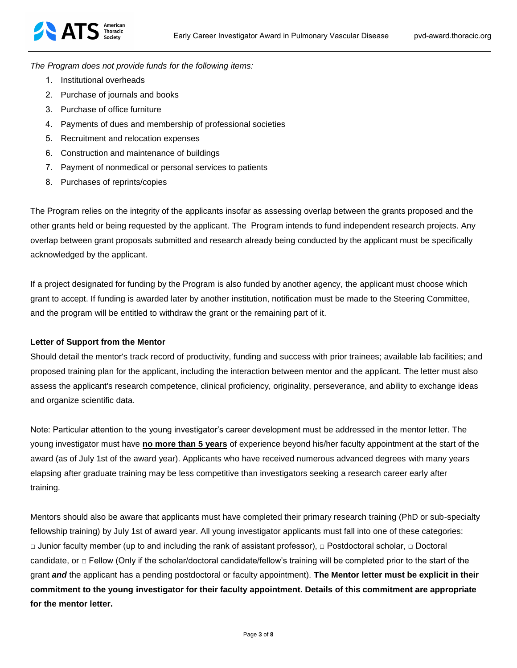*The Program does not provide funds for the following items:*

- 1. Institutional overheads
- 2. Purchase of journals and books
- 3. Purchase of office furniture
- 4. Payments of dues and membership of professional societies
- 5. Recruitment and relocation expenses
- 6. Construction and maintenance of buildings
- 7. Payment of nonmedical or personal services to patients
- 8. Purchases of reprints/copies

The Program relies on the integrity of the applicants insofar as assessing overlap between the grants proposed and the other grants held or being requested by the applicant. The Program intends to fund independent research projects. Any overlap between grant proposals submitted and research already being conducted by the applicant must be specifically acknowledged by the applicant.

If a project designated for funding by the Program is also funded by another agency, the applicant must choose which grant to accept. If funding is awarded later by another institution, notification must be made to the Steering Committee, and the program will be entitled to withdraw the grant or the remaining part of it.

# **Letter of Support from the Mentor**

Should detail the mentor's track record of productivity, funding and success with prior trainees; available lab facilities; and proposed training plan for the applicant, including the interaction between mentor and the applicant. The letter must also assess the applicant's research competence, clinical proficiency, originality, perseverance, and ability to exchange ideas and organize scientific data.

Note: Particular attention to the young investigator's career development must be addressed in the mentor letter. The young investigator must have **no more than 5 years** of experience beyond his/her faculty appointment at the start of the award (as of July 1st of the award year). Applicants who have received numerous advanced degrees with many years elapsing after graduate training may be less competitive than investigators seeking a research career early after training.

Mentors should also be aware that applicants must have completed their primary research training (PhD or sub-specialty fellowship training) by July 1st of award year. All young investigator applicants must fall into one of these categories: □ Junior faculty member (up to and including the rank of assistant professor), □ Postdoctoral scholar, □ Doctoral candidate, or  $\Box$  Fellow (Only if the scholar/doctoral candidate/fellow's training will be completed prior to the start of the grant *and* the applicant has a pending postdoctoral or faculty appointment). **The Mentor letter must be explicit in their commitment to the young investigator for their faculty appointment. Details of this commitment are appropriate for the mentor letter.**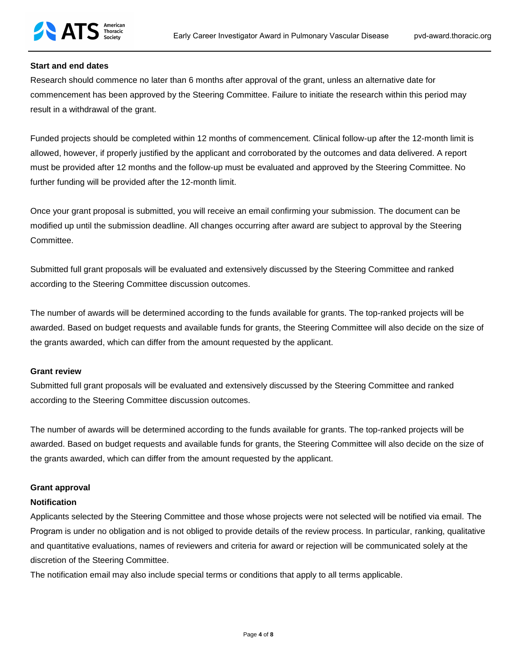# **Start and end dates**

Research should commence no later than 6 months after approval of the grant, unless an alternative date for commencement has been approved by the Steering Committee. Failure to initiate the research within this period may result in a withdrawal of the grant.

Funded projects should be completed within 12 months of commencement. Clinical follow-up after the 12-month limit is allowed, however, if properly justified by the applicant and corroborated by the outcomes and data delivered. A report must be provided after 12 months and the follow-up must be evaluated and approved by the Steering Committee. No further funding will be provided after the 12-month limit.

Once your grant proposal is submitted, you will receive an email confirming your submission. The document can be modified up until the submission deadline. All changes occurring after award are subject to approval by the Steering Committee.

Submitted full grant proposals will be evaluated and extensively discussed by the Steering Committee and ranked according to the Steering Committee discussion outcomes.

The number of awards will be determined according to the funds available for grants. The top-ranked projects will be awarded. Based on budget requests and available funds for grants, the Steering Committee will also decide on the size of the grants awarded, which can differ from the amount requested by the applicant.

# **Grant review**

Submitted full grant proposals will be evaluated and extensively discussed by the Steering Committee and ranked according to the Steering Committee discussion outcomes.

The number of awards will be determined according to the funds available for grants. The top-ranked projects will be awarded. Based on budget requests and available funds for grants, the Steering Committee will also decide on the size of the grants awarded, which can differ from the amount requested by the applicant.

# **Grant approval**

# **Notification**

Applicants selected by the Steering Committee and those whose projects were not selected will be notified via email. The Program is under no obligation and is not obliged to provide details of the review process. In particular, ranking, qualitative and quantitative evaluations, names of reviewers and criteria for award or rejection will be communicated solely at the discretion of the Steering Committee.

The notification email may also include special terms or conditions that apply to all terms applicable.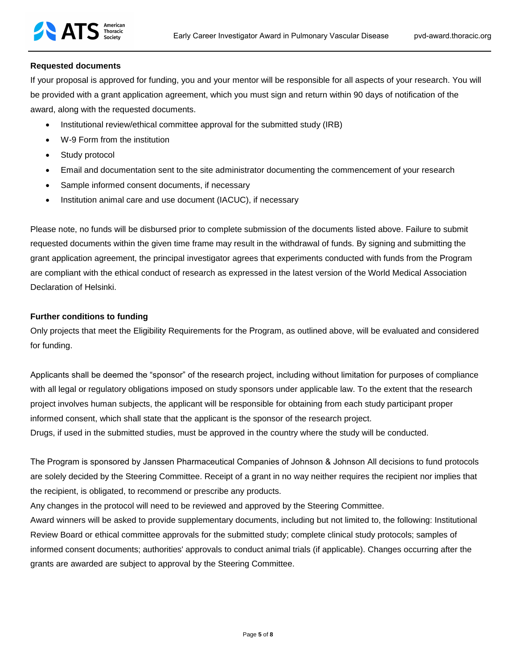# **Requested documents**

If your proposal is approved for funding, you and your mentor will be responsible for all aspects of your research. You will be provided with a grant application agreement, which you must sign and return within 90 days of notification of the award, along with the requested documents.

- Institutional review/ethical committee approval for the submitted study (IRB)
- W-9 Form from the institution
- Study protocol
- Email and documentation sent to the site administrator documenting the commencement of your research
- Sample informed consent documents, if necessary
- Institution animal care and use document (IACUC), if necessary

Please note, no funds will be disbursed prior to complete submission of the documents listed above. Failure to submit requested documents within the given time frame may result in the withdrawal of funds. By signing and submitting the grant application agreement, the principal investigator agrees that experiments conducted with funds from the Program are compliant with the ethical conduct of research as expressed in the latest version of the World Medical Association Declaration of Helsinki.

# **Further conditions to funding**

Only projects that meet the Eligibility Requirements for the Program, as outlined above, will be evaluated and considered for funding.

Applicants shall be deemed the "sponsor" of the research project, including without limitation for purposes of compliance with all legal or regulatory obligations imposed on study sponsors under applicable law. To the extent that the research project involves human subjects, the applicant will be responsible for obtaining from each study participant proper informed consent, which shall state that the applicant is the sponsor of the research project. Drugs, if used in the submitted studies, must be approved in the country where the study will be conducted.

The Program is sponsored by Janssen Pharmaceutical Companies of Johnson & Johnson All decisions to fund protocols are solely decided by the Steering Committee. Receipt of a grant in no way neither requires the recipient nor implies that the recipient, is obligated, to recommend or prescribe any products.

Any changes in the protocol will need to be reviewed and approved by the Steering Committee.

Award winners will be asked to provide supplementary documents, including but not limited to, the following: Institutional Review Board or ethical committee approvals for the submitted study; complete clinical study protocols; samples of informed consent documents; authorities' approvals to conduct animal trials (if applicable). Changes occurring after the grants are awarded are subject to approval by the Steering Committee.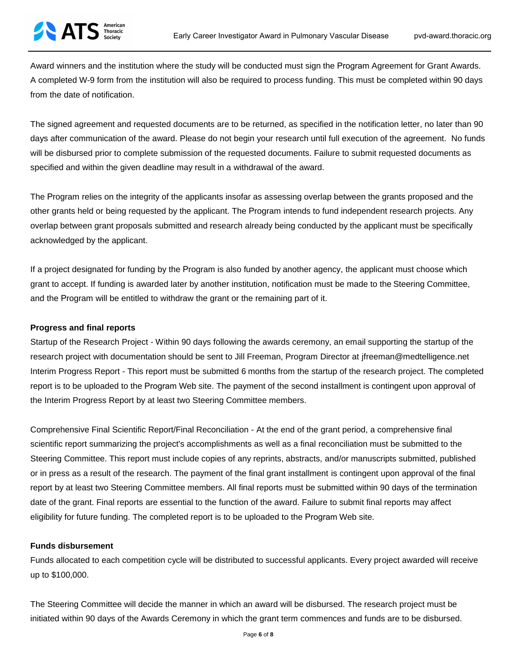Award winners and the institution where the study will be conducted must sign the Program Agreement for Grant Awards. A completed W-9 form from the institution will also be required to process funding. This must be completed within 90 days from the date of notification.

The signed agreement and requested documents are to be returned, as specified in the notification letter, no later than 90 days after communication of the award. Please do not begin your research until full execution of the agreement. No funds will be disbursed prior to complete submission of the requested documents. Failure to submit requested documents as specified and within the given deadline may result in a withdrawal of the award.

The Program relies on the integrity of the applicants insofar as assessing overlap between the grants proposed and the other grants held or being requested by the applicant. The Program intends to fund independent research projects. Any overlap between grant proposals submitted and research already being conducted by the applicant must be specifically acknowledged by the applicant.

If a project designated for funding by the Program is also funded by another agency, the applicant must choose which grant to accept. If funding is awarded later by another institution, notification must be made to the Steering Committee, and the Program will be entitled to withdraw the grant or the remaining part of it.

#### **Progress and final reports**

**ATS** Thoracic

Startup of the Research Project - Within 90 days following the awards ceremony, an email supporting the startup of the research project with documentation should be sent to Jill Freeman, Program Director at jfreeman@medtelligence.net Interim Progress Report - This report must be submitted 6 months from the startup of the research project. The completed report is to be uploaded to the Program Web site. The payment of the second installment is contingent upon approval of the Interim Progress Report by at least two Steering Committee members.

Comprehensive Final Scientific Report/Final Reconciliation - At the end of the grant period, a comprehensive final scientific report summarizing the project's accomplishments as well as a final reconciliation must be submitted to the Steering Committee. This report must include copies of any reprints, abstracts, and/or manuscripts submitted, published or in press as a result of the research. The payment of the final grant installment is contingent upon approval of the final report by at least two Steering Committee members. All final reports must be submitted within 90 days of the termination date of the grant. Final reports are essential to the function of the award. Failure to submit final reports may affect eligibility for future funding. The completed report is to be uploaded to the Program Web site.

#### **Funds disbursement**

Funds allocated to each competition cycle will be distributed to successful applicants. Every project awarded will receive up to \$100,000.

The Steering Committee will decide the manner in which an award will be disbursed. The research project must be initiated within 90 days of the Awards Ceremony in which the grant term commences and funds are to be disbursed.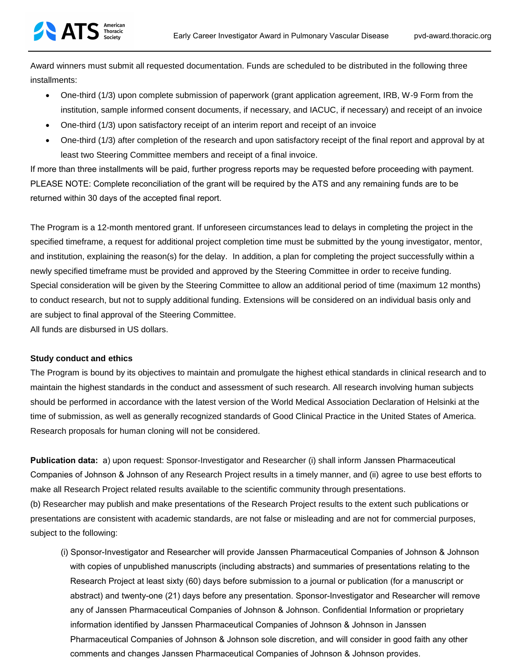Award winners must submit all requested documentation. Funds are scheduled to be distributed in the following three installments:

- One-third (1/3) upon complete submission of paperwork (grant application agreement, IRB, W-9 Form from the institution, sample informed consent documents, if necessary, and IACUC, if necessary) and receipt of an invoice
- One-third (1/3) upon satisfactory receipt of an interim report and receipt of an invoice
- One-third (1/3) after completion of the research and upon satisfactory receipt of the final report and approval by at least two Steering Committee members and receipt of a final invoice.

If more than three installments will be paid, further progress reports may be requested before proceeding with payment. PLEASE NOTE: Complete reconciliation of the grant will be required by the ATS and any remaining funds are to be returned within 30 days of the accepted final report.

The Program is a 12-month mentored grant. If unforeseen circumstances lead to delays in completing the project in the specified timeframe, a request for additional project completion time must be submitted by the young investigator, mentor, and institution, explaining the reason(s) for the delay. In addition, a plan for completing the project successfully within a newly specified timeframe must be provided and approved by the Steering Committee in order to receive funding. Special consideration will be given by the Steering Committee to allow an additional period of time (maximum 12 months) to conduct research, but not to supply additional funding. Extensions will be considered on an individual basis only and are subject to final approval of the Steering Committee.

All funds are disbursed in US dollars.

# **Study conduct and ethics**

The Program is bound by its objectives to maintain and promulgate the highest ethical standards in clinical research and to maintain the highest standards in the conduct and assessment of such research. All research involving human subjects should be performed in accordance with the latest version of the World Medical Association Declaration of Helsinki at the time of submission, as well as generally recognized standards of Good Clinical Practice in the United States of America. Research proposals for human cloning will not be considered.

**Publication data:** a) upon request: Sponsor-Investigator and Researcher (i) shall inform Janssen Pharmaceutical Companies of Johnson & Johnson of any Research Project results in a timely manner, and (ii) agree to use best efforts to make all Research Project related results available to the scientific community through presentations. (b) Researcher may publish and make presentations of the Research Project results to the extent such publications or presentations are consistent with academic standards, are not false or misleading and are not for commercial purposes, subject to the following:

(i) Sponsor-Investigator and Researcher will provide Janssen Pharmaceutical Companies of Johnson & Johnson with copies of unpublished manuscripts (including abstracts) and summaries of presentations relating to the Research Project at least sixty (60) days before submission to a journal or publication (for a manuscript or abstract) and twenty-one (21) days before any presentation. Sponsor-Investigator and Researcher will remove any of Janssen Pharmaceutical Companies of Johnson & Johnson. Confidential Information or proprietary information identified by Janssen Pharmaceutical Companies of Johnson & Johnson in Janssen Pharmaceutical Companies of Johnson & Johnson sole discretion, and will consider in good faith any other comments and changes Janssen Pharmaceutical Companies of Johnson & Johnson provides.